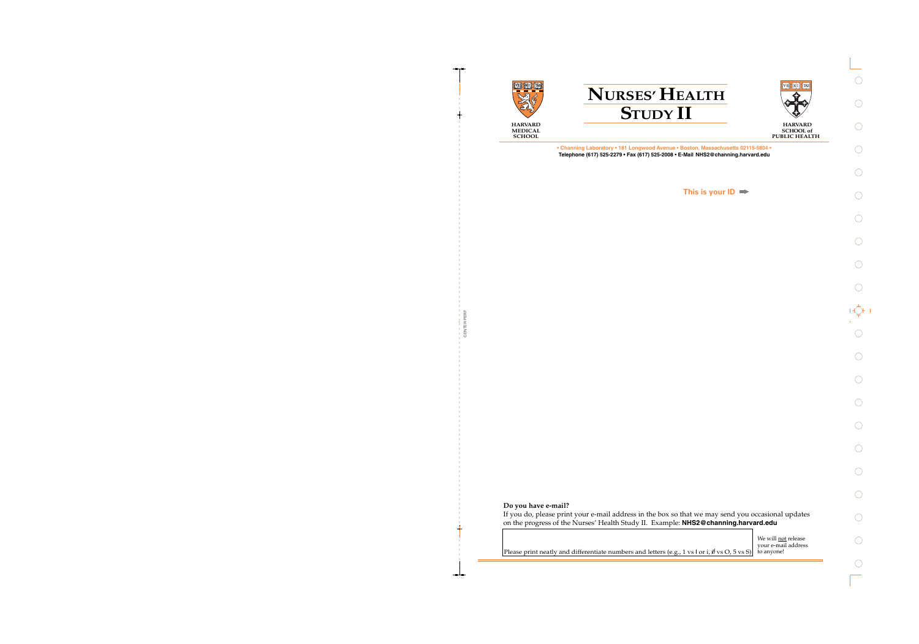

CENTER PERF

CENTER PERF





**HARVARD SCHOOL of PUBLIC HEALTH** 

**• Channing Laboratory • 181 Longwood Avenue • Boston, Massachusetts 02115-5804 • Telephone (617) 525-2279 • Fax (617) 525-2008 • E-Mail NHS2@channing.harvard.edu**

**This is your ID**

### **Do you have e-mail?**

If you do, please print your e-mail address in the box so that we may send you occasional updates on the progress of the Nurses' Health Study II. Example: **NHS2@channing.harvard.edu**

> We will **not** release your e-mail address to anyone!

Please print neatly and differentiate numbers and letters (e.g., 1 vs l or i,  $\emptyset$  vs O, 5 vs S)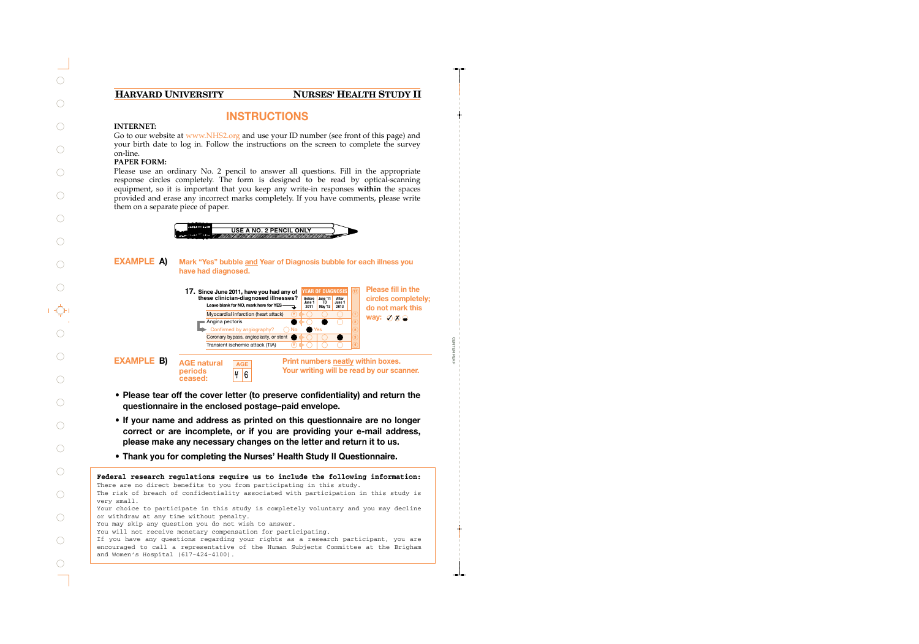## **HARVARD UNIVERSITY NURSES' HEALTH STUDY II**

# **INSTRUCTIONS**

#### **INTERNET:**

Go to our website at www.NHS2.org and use your ID number (see front of this page) and your birth date to log in. Follow the instructions on the screen to complete the survey on-line.

#### **PAPER FORM:**

Please use an ordinary No. 2 pencil to answer all questions. Fill in the appropriate response circles completely. The form is designed to be read by optical-scanning equipment, so it is important that you keep any write-in responses **within** the spaces provided and erase any incorrect marks completely. If you have comments, please write them on a separate piece of paper.



#### **Mark "Yes" bubble and Year of Diagnosis bubble for each illness you have had diagnosed. EXAMPLE A)**

**Leave blank for NO, mark here for YES** Myocardial infarction (heart attack) Angina pectoris Confirmed by angiography? Coronary bypass, angioplasty, or stent Transient ischemic attack (TIA)  $\overline{M}$ **Y 1 4 Y YEAR OF DIAGNOSIS Before June 1 June '11 TO 2011 May '13 After June 1 2013 17. Since June 2011, have you had any of these clinician-diagnosed illnesses?**

way: ⊘*o* **Please fill in the circles completely; do not mark this**

CENTER PERF

**CENTER PERI** 



**EXAMPLE B)** AGE natural *AGE* Print numbers neatly within boxes. **Your writing will be read by our scanner.**

- **• Please tear off the cover letter (to preserve confidentiality) and return the questionnaire in the enclosed postage–paid envelope.**
- **• If your name and address as printed on this questionnaire are no longer correct or are incomplete, or if you are providing your e-mail address, please make any necessary changes on the letter and return it to us.**
- **• Thank you for completing the Nurses' Health Study II Questionnaire.**

#### **Federal research regulations require us to include the following information:** There are no direct benefits to you from participating in this study.

The risk of breach of confidentiality associated with participation in this study is very small.

Your choice to participate in this study is completely voluntary and you may decline or withdraw at any time without penalty.

You may skip any question you do not wish to answer.

You will not receive monetary compensation for participating.

If you have any questions regarding your rights as a research participant, you are encouraged to call a representative of the Human Subjects Committee at the Brigham and Women's Hospital (617-424-4100).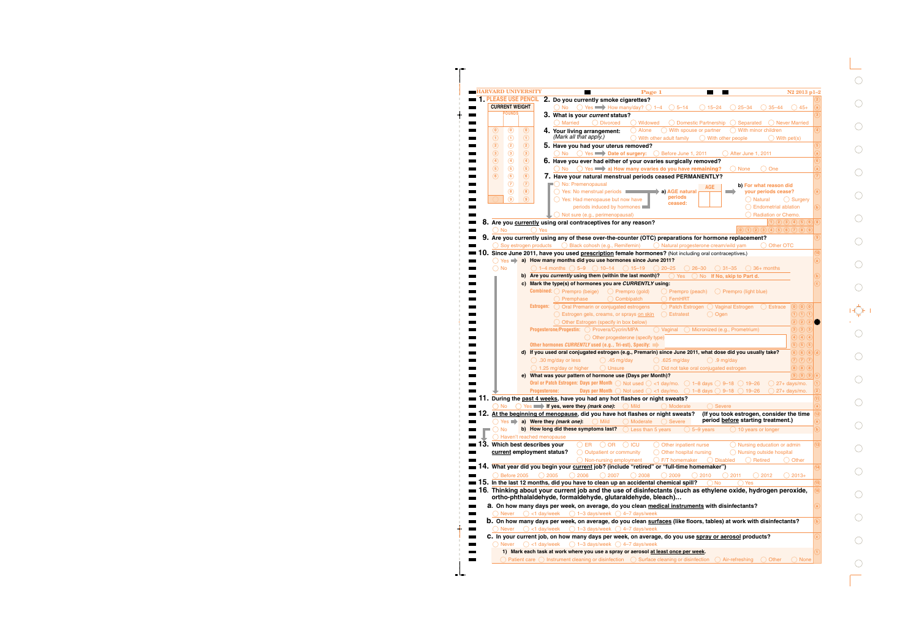|                   | <b>CURRENT WEIGHT</b> |                               | ( )No                                             |                                                                                                                                       |                     |                                                                  |                                  |                                                                                                                                                                                                                                                                                                                               |                                                                              |
|-------------------|-----------------------|-------------------------------|---------------------------------------------------|---------------------------------------------------------------------------------------------------------------------------------------|---------------------|------------------------------------------------------------------|----------------------------------|-------------------------------------------------------------------------------------------------------------------------------------------------------------------------------------------------------------------------------------------------------------------------------------------------------------------------------|------------------------------------------------------------------------------|
|                   |                       |                               |                                                   |                                                                                                                                       |                     | $\circ$ Yes $\rightarrow$ How many/day? $\circ$ 1–4 $\circ$ 5–14 | $)15 - 24$                       | $25 - 34$<br>$35 - 44$                                                                                                                                                                                                                                                                                                        | $+ 45 +$                                                                     |
|                   | <b>POUNDS</b>         |                               |                                                   | 3. What is your current status?                                                                                                       |                     |                                                                  |                                  |                                                                                                                                                                                                                                                                                                                               |                                                                              |
|                   |                       |                               | O Married                                         | <b>Divorced</b>                                                                                                                       | () Widowed          |                                                                  | Domestic Partnership ( Separated |                                                                                                                                                                                                                                                                                                                               | ( ) Never Married                                                            |
| $\left( 0\right)$ | $\circledcirc$        | $\circledcirc$                |                                                   | 4. Your living arrangement:                                                                                                           | Alone               | $\bigcirc$ With spouse or partner                                |                                  | $\bigcirc$ With minor children                                                                                                                                                                                                                                                                                                |                                                                              |
| $\odot$           | $\odot$               | $\odot$                       | (Mark all that apply.)                            |                                                                                                                                       |                     | $\bigcirc$ With other adult family                               | $\bigcirc$ With other people     |                                                                                                                                                                                                                                                                                                                               | $\bigcirc$ With pet(s)                                                       |
| $\rm (2)$         | $\circled{2}$         | $\circled{2}$                 |                                                   | 5. Have you had your uterus removed?                                                                                                  |                     |                                                                  |                                  |                                                                                                                                                                                                                                                                                                                               |                                                                              |
| $\circled{3}$     | $\circled{3}$         | $\circled{3}$                 |                                                   | ◯ No ◯ Yes Date of surgery: ◯ Before June 1, 2011                                                                                     |                     |                                                                  |                                  | After June 1, 2011                                                                                                                                                                                                                                                                                                            |                                                                              |
| $\left( 4\right)$ | $\bigcirc$            | $\circled{4}$                 |                                                   | 6. Have you ever had either of your ovaries surgically removed?                                                                       |                     |                                                                  |                                  |                                                                                                                                                                                                                                                                                                                               |                                                                              |
| (5)               | $\circled{5}$         | $\circled{5}$                 |                                                   | $\bigcirc$ No $\bigcirc$ Yes $\longrightarrow$ a) How many ovaries do you have remaining?                                             |                     |                                                                  |                                  | ◯ None<br>One                                                                                                                                                                                                                                                                                                                 |                                                                              |
| (6)               | $\circled{6}$         | $\circled{6}$                 |                                                   | 7. Have your natural menstrual periods ceased PERMANENTLY?                                                                            |                     |                                                                  |                                  |                                                                                                                                                                                                                                                                                                                               |                                                                              |
|                   | $\circledcirc$        | $\circled{7}$                 | No: Premenopausal                                 |                                                                                                                                       |                     |                                                                  | AGE                              | b) For what reason did                                                                                                                                                                                                                                                                                                        |                                                                              |
|                   | $\circledast$         | (8)                           |                                                   | ◯ Yes: No menstrual periods                                                                                                           |                     | a) AGE natural<br>periods                                        |                                  | your periods cease?                                                                                                                                                                                                                                                                                                           |                                                                              |
|                   | $\circledcirc$        | (9)                           |                                                   | $\bigcirc$ Yes: Had menopause but now have                                                                                            |                     | ceased:                                                          |                                  | ) Natural                                                                                                                                                                                                                                                                                                                     | $\bigcirc$ Surgery                                                           |
|                   |                       |                               |                                                   | periods induced by hormones                                                                                                           |                     |                                                                  |                                  | <b>Endometrial ablation</b>                                                                                                                                                                                                                                                                                                   |                                                                              |
|                   |                       |                               |                                                   | $\bigcirc$ Not sure (e.g., perimenopausal)                                                                                            |                     |                                                                  |                                  | Radiation or Chemo.                                                                                                                                                                                                                                                                                                           |                                                                              |
|                   |                       |                               |                                                   | 8. Are you currently using oral contraceptives for any reason?                                                                        |                     |                                                                  |                                  |                                                                                                                                                                                                                                                                                                                               | $\overline{1}$ (2) (3) (4) (5) (6)                                           |
| $()$ No           |                       | $\bigcap$ Yes                 |                                                   |                                                                                                                                       |                     |                                                                  |                                  | $\begin{pmatrix} 0 & 1 & 0 & 0 \\ 0 & 0 & 0 & 0 \\ 0 & 0 & 0 & 0 \\ 0 & 0 & 0 & 0 \\ 0 & 0 & 0 & 0 \\ 0 & 0 & 0 & 0 \\ 0 & 0 & 0 & 0 \\ 0 & 0 & 0 & 0 \\ 0 & 0 & 0 & 0 \\ 0 & 0 & 0 & 0 \\ 0 & 0 & 0 & 0 & 0 \\ 0 & 0 & 0 & 0 & 0 \\ 0 & 0 & 0 & 0 & 0 \\ 0 & 0 & 0 & 0 & 0 & 0 \\ 0 & 0 & 0 & 0 & 0 & 0 \\ 0 & 0 & 0 & 0 & $ |                                                                              |
|                   |                       |                               |                                                   | 9. Are you currently using any of these over-the-counter (OTC) preparations for hormone replacement?                                  |                     |                                                                  |                                  |                                                                                                                                                                                                                                                                                                                               |                                                                              |
|                   |                       |                               |                                                   | Soy estrogen products $\bigcirc$ Black cohosh (e.g., Remifemin) $\bigcirc$ Natural progesterone cream/wild yam                        |                     |                                                                  |                                  |                                                                                                                                                                                                                                                                                                                               | () Other OTC                                                                 |
| 10.               |                       |                               |                                                   | Since June 2011, have you used prescription female hormones? (Not including oral contraceptives.)                                     |                     |                                                                  |                                  |                                                                                                                                                                                                                                                                                                                               |                                                                              |
|                   |                       |                               |                                                   | ◯ Yes a) How many months did you use hormones since June 2011?                                                                        |                     |                                                                  |                                  |                                                                                                                                                                                                                                                                                                                               |                                                                              |
| <b>No</b>         |                       |                               |                                                   | $\bigcirc$ 1–4 months $\bigcirc$ 5–9 $\bigcirc$ 10–14 $\bigcirc$ 15–19                                                                |                     | $() 20 - 25$                                                     | $26 - 30$<br>$() 31 - 35$        | 36+ months                                                                                                                                                                                                                                                                                                                    |                                                                              |
|                   |                       |                               |                                                   | b) Are you currently using them (within the last month)?                                                                              |                     | $\bigcirc$ Yes                                                   | No If No, skip to Part d.        |                                                                                                                                                                                                                                                                                                                               |                                                                              |
|                   |                       |                               |                                                   | c) Mark the type(s) of hormones you are CURRENTLY using:                                                                              |                     |                                                                  |                                  |                                                                                                                                                                                                                                                                                                                               |                                                                              |
|                   |                       |                               |                                                   | <b>Combined:</b> $\bigcirc$ Prempro (beige) $\bigcirc$ Prempro (gold)                                                                 |                     | $\bigcirc$ Prempro (peach)                                       |                                  | ◯ Prempro (light blue)                                                                                                                                                                                                                                                                                                        |                                                                              |
|                   |                       |                               | Premphase                                         |                                                                                                                                       | ( Combipatch        | $\bigcirc$ FemHRT                                                |                                  |                                                                                                                                                                                                                                                                                                                               |                                                                              |
|                   |                       |                               |                                                   | <b>Estrogen:</b> $\bigcirc$ Oral Premarin or conjugated estrogens                                                                     |                     |                                                                  |                                  | $\bigcirc$ Patch Estrogen $\bigcirc$ Vaginal Estrogen $\bigcirc$ Estrace                                                                                                                                                                                                                                                      | $\left( \mathbf{0}\right) \left( \mathbf{0}\right) \left( \mathbf{0}\right)$ |
|                   |                       |                               |                                                   | Estrogen gels, creams, or sprays on skin                                                                                              |                     | $\bigcirc$ Estratest                                             | Ogen<br>(                        |                                                                                                                                                                                                                                                                                                                               | $\bigoplus \bigoplus \bigoplus$                                              |
|                   |                       |                               |                                                   | Other Estrogen (specify in box below)                                                                                                 |                     |                                                                  |                                  |                                                                                                                                                                                                                                                                                                                               | $2)$ $(2)$ $(2)$                                                             |
|                   |                       |                               |                                                   | Progesterone/Progestin: O Provera/Cycrin/MPA                                                                                          |                     | $\bigcirc$ Vaginal                                               | Micronized (e.g., Prometrium)    |                                                                                                                                                                                                                                                                                                                               | $3)$ $(3)$ $(3)$                                                             |
|                   |                       |                               |                                                   | $\bigcirc$ Other progesterone (specify type)                                                                                          |                     |                                                                  |                                  |                                                                                                                                                                                                                                                                                                                               | 4)(4)(4)                                                                     |
|                   |                       |                               |                                                   | Other hormones CURRENTLY used (e.g., Tri-est), Specify:                                                                               |                     |                                                                  |                                  |                                                                                                                                                                                                                                                                                                                               | 5)(5)(5)                                                                     |
|                   |                       |                               |                                                   |                                                                                                                                       |                     |                                                                  |                                  | d) If you used oral conjugated estrogen (e.g., Premarin) since June 2011, what dose did you usually take?                                                                                                                                                                                                                     | $6)$ $6)$ $6)$                                                               |
|                   |                       |                               | $\bigcirc$ .30 mg/day or less                     | $\bigcirc$ .45 mg/day                                                                                                                 |                     | $\bigcirc$ .625 mg/day                                           | $\bigcirc$ .9 mg/day             |                                                                                                                                                                                                                                                                                                                               | $\widehat{Z}$ $\widehat{Z}$ $\widehat{Z}$                                    |
|                   |                       |                               |                                                   | $\bigcirc$ 1.25 mg/day or higher $\bigcirc$ Unsure $\bigcirc$ Did not take oral conjugated estrogen                                   |                     |                                                                  |                                  |                                                                                                                                                                                                                                                                                                                               | $\mathbf{a}$ $\mathbf{a}$ $\mathbf{a}$                                       |
|                   |                       |                               |                                                   | e) What was your pattern of hormone use (Days per Month)?                                                                             |                     |                                                                  |                                  |                                                                                                                                                                                                                                                                                                                               | (9)(9)                                                                       |
|                   |                       |                               |                                                   | Oral or Patch Estrogen: Days per Month $\bigcirc$ Not used $\bigcirc$ <1 day/mo. $\bigcirc$ 1–8 days $\bigcirc$ 9–18 $\bigcirc$ 19–26 |                     |                                                                  |                                  |                                                                                                                                                                                                                                                                                                                               | $\bigcirc$ 27+ days/mo.                                                      |
|                   |                       | <b>Progesterone:</b>          |                                                   | <b>Days per Month</b> $\bigcirc$ Not used $\bigcirc$ <1 day/mo. $\bigcirc$ 1-8 days $\bigcirc$ 9-18                                   |                     |                                                                  |                                  | $19 - 26$                                                                                                                                                                                                                                                                                                                     | 27+ days/mo.                                                                 |
|                   |                       |                               |                                                   | 11. During the past 4 weeks, have you had any hot flashes or night sweats?                                                            |                     |                                                                  |                                  |                                                                                                                                                                                                                                                                                                                               |                                                                              |
| <b>No</b>         |                       |                               | Yes <b>in the lift yes, were they (mark one):</b> |                                                                                                                                       | ◯ Mild              | Moderate                                                         | <b>Severe</b>                    |                                                                                                                                                                                                                                                                                                                               |                                                                              |
|                   |                       |                               |                                                   | 12. At the beginning of menopause, did you have hot flashes or night sweats?                                                          |                     |                                                                  |                                  | (If you took estrogen, consider the time                                                                                                                                                                                                                                                                                      |                                                                              |
|                   |                       |                               | $Yes \Rightarrow a)$ Were they (mark one):        | ◯ Mild                                                                                                                                | () Moderate         | <b>Severe</b>                                                    |                                  | period before starting treatment.)                                                                                                                                                                                                                                                                                            |                                                                              |
| No                |                       |                               |                                                   | b) How long did these symptoms last?                                                                                                  | ◯ Less than 5 years |                                                                  | 5-9 years                        | $\bigcirc$ 10 years or longer                                                                                                                                                                                                                                                                                                 |                                                                              |
|                   |                       | Haven't reached menopause     |                                                   |                                                                                                                                       |                     |                                                                  |                                  |                                                                                                                                                                                                                                                                                                                               |                                                                              |
|                   |                       | 13. Which best describes your |                                                   | <b>OR</b><br>ER                                                                                                                       | <b>ICU</b>          | Other inpatient nurse                                            |                                  | Nursing education or admin                                                                                                                                                                                                                                                                                                    |                                                                              |
|                   |                       | current employment status?    |                                                   | Outpatient or community                                                                                                               |                     | Other hospital nursing                                           |                                  | Nursing outside hospital                                                                                                                                                                                                                                                                                                      |                                                                              |
|                   |                       |                               |                                                   | $\bigcirc$ Non-nursing employment                                                                                                     |                     | F/T homemaker                                                    | <b>Disabled</b>                  | ( ) Retired                                                                                                                                                                                                                                                                                                                   | Other                                                                        |
|                   |                       |                               |                                                   | 14. What year did you begin your current job? (include "retired" or "full-time homemaker")                                            |                     |                                                                  |                                  |                                                                                                                                                                                                                                                                                                                               |                                                                              |
|                   | Before 2005           |                               | 2006<br>2005                                      | $\bigcirc$ 2007                                                                                                                       | 2008                | 2009                                                             | $\bigcirc$ 2010                  | 2011<br>2012                                                                                                                                                                                                                                                                                                                  | $2013+$                                                                      |
|                   |                       |                               |                                                   | 15. In the last 12 months, did you have to clean up an accidental chemical spill?                                                     |                     |                                                                  | <b>No</b>                        | Yes                                                                                                                                                                                                                                                                                                                           |                                                                              |
|                   |                       |                               |                                                   |                                                                                                                                       |                     |                                                                  |                                  | $\blacksquare$ 16. Thinking about your current job and the use of disinfectants (such as ethylene oxide, hydrogen peroxide,                                                                                                                                                                                                   |                                                                              |
|                   |                       |                               |                                                   | ortho-phthalaidehyde, formaldehyde, glutaraidehyde, bleach)                                                                           |                     |                                                                  |                                  |                                                                                                                                                                                                                                                                                                                               |                                                                              |
|                   |                       |                               |                                                   | a. On how many days per week, on average, do you clean medical instruments with disinfectants?                                        |                     |                                                                  |                                  |                                                                                                                                                                                                                                                                                                                               |                                                                              |
| ( ) Never         |                       | $\bigcirc$ <1 day/week        |                                                   | $\bigcirc$ 1-3 days/week $\bigcirc$ 4-7 days/week                                                                                     |                     |                                                                  |                                  |                                                                                                                                                                                                                                                                                                                               |                                                                              |
|                   |                       |                               |                                                   |                                                                                                                                       |                     |                                                                  |                                  | <b>b.</b> On how many days per week, on average, do you clean surfaces (like floors, tables) at work with disinfectants?                                                                                                                                                                                                      |                                                                              |
|                   | Never                 | $\bigcirc$ <1 day/week        |                                                   | $\bigcirc$ 1-3 days/week $\bigcirc$ 4-7 days/week                                                                                     |                     |                                                                  |                                  |                                                                                                                                                                                                                                                                                                                               |                                                                              |
|                   |                       |                               |                                                   |                                                                                                                                       |                     |                                                                  |                                  | C. In your current job, on how many days per week, on average, do you use spray or aerosol products?                                                                                                                                                                                                                          |                                                                              |
|                   | ◯ Never               | $\bigcirc$ <1 day/week        |                                                   | ◯ 1-3 days/week ◯ 4-7 days/week                                                                                                       |                     |                                                                  |                                  |                                                                                                                                                                                                                                                                                                                               |                                                                              |

 $\bigcirc$  $\bigcirc$  $\bigcirc$  $\bigcirc$  $\bigcirc$  $\bigcirc$  $\bigcirc$  $\bigcirc$  $\bigcirc$  $\bigcirc$  $\begin{picture}(20,5) \put(0,0){\line(1,0){15}} \put(15,0){\line(1,0){15}} \put(15,0){\line(1,0){15}} \put(15,0){\line(1,0){15}} \put(15,0){\line(1,0){15}} \put(15,0){\line(1,0){15}} \put(15,0){\line(1,0){15}} \put(15,0){\line(1,0){15}} \put(15,0){\line(1,0){15}} \put(15,0){\line(1,0){15}} \put(15,0){\line(1,0){15}} \put(15,0){\line(1,$  $\bigcirc$  $\bigcirc$  $\bigcirc$  $\bigcirc$  $\bigcirc$  $\bigcirc$  $\bigcirc$  $\bigcirc$  $\bigcirc$  $\bigcirc$  $\bigcirc$